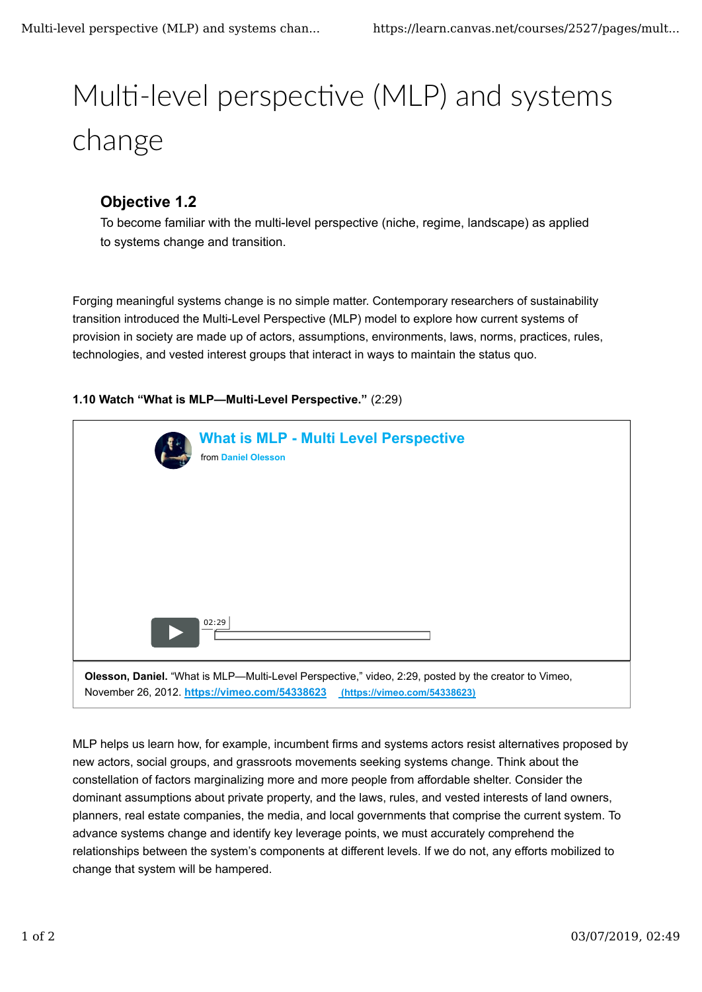## Multi-level perspective (MLP) and systems change

## **Objective 1.2**

To become familiar with the multi-level perspective (niche, regime, landscape) as applied to systems change and transition.

Forging meaningful systems change is no simple matter. Contemporary researchers of sustainability transition introduced the Multi-Level Perspective (MLP) model to explore how current systems of provision in society are made up of actors, assumptions, environments, laws, norms, practices, rules, technologies, and vested interest groups that interact in ways to maintain the status quo.

## **1.10 Watch "What is MLP—Multi-Level Perspective."** (2:29)

| <b>What is MLP - Multi Level Perspective</b><br>from Daniel Olesson                                                                                                                |
|------------------------------------------------------------------------------------------------------------------------------------------------------------------------------------|
|                                                                                                                                                                                    |
|                                                                                                                                                                                    |
| 02:29                                                                                                                                                                              |
| Olesson, Daniel. "What is MLP-Multi-Level Perspective," video, 2:29, posted by the creator to Vimeo,<br>November 26, 2012. https://vimeo.com/54338623 (https://vimeo.com/54338623) |

MLP helps us learn how, for example, incumbent firms and systems actors resist alternatives proposed by new actors, social groups, and grassroots movements seeking systems change. Think about the constellation of factors marginalizing more and more people from affordable shelter. Consider the dominant assumptions about private property, and the laws, rules, and vested interests of land owners, planners, real estate companies, the media, and local governments that comprise the current system. To advance systems change and identify key leverage points, we must accurately comprehend the relationships between the system's components at different levels. If we do not, any efforts mobilized to change that system will be hampered.